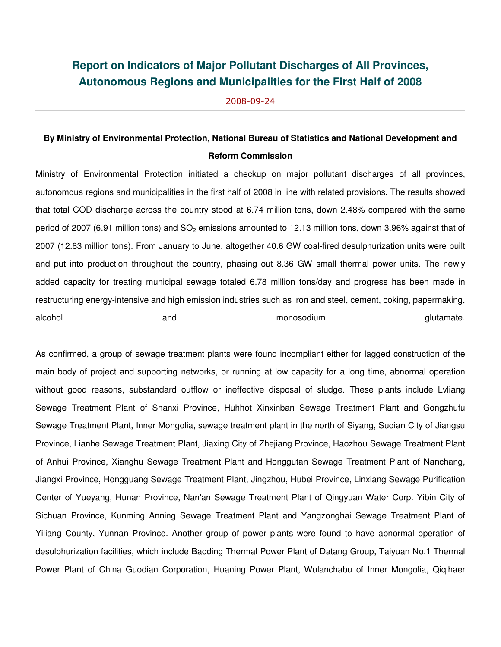## **Report on Indicators of Major Pollutant Discharges of All Provinces, Autonomous Regions and Municipalities for the First Half of 2008**

2008-09-24

## **By Ministry of Environmental Protection, National Bureau of Statistics and National Development and Reform Commission**

Ministry of Environmental Protection initiated a checkup on major pollutant discharges of all provinces, autonomous regions and municipalities in the first half of 2008 in line with related provisions. The results showed that total COD discharge across the country stood at 6.74 million tons, down 2.48% compared with the same period of 2007 (6.91 million tons) and  $SO<sub>2</sub>$  emissions amounted to 12.13 million tons, down 3.96% against that of 2007 (12.63 million tons). From January to June, altogether 40.6 GW coal-fired desulphurization units were built and put into production throughout the country, phasing out 8.36 GW small thermal power units. The newly added capacity for treating municipal sewage totaled 6.78 million tons/day and progress has been made in restructuring energy-intensive and high emission industries such as iron and steel, cement, coking, papermaking, alcohol and monosodium glutamate.

As confirmed, a group of sewage treatment plants were found incompliant either for lagged construction of the main body of project and supporting networks, or running at low capacity for a long time, abnormal operation without good reasons, substandard outflow or ineffective disposal of sludge. These plants include Lvliang Sewage Treatment Plant of Shanxi Province, Huhhot Xinxinban Sewage Treatment Plant and Gongzhufu Sewage Treatment Plant, Inner Mongolia, sewage treatment plant in the north of Siyang, Suqian City of Jiangsu Province, Lianhe Sewage Treatment Plant, Jiaxing City of Zhejiang Province, Haozhou Sewage Treatment Plant of Anhui Province, Xianghu Sewage Treatment Plant and Honggutan Sewage Treatment Plant of Nanchang, Jiangxi Province, Hongguang Sewage Treatment Plant, Jingzhou, Hubei Province, Linxiang Sewage Purification Center of Yueyang, Hunan Province, Nan'an Sewage Treatment Plant of Qingyuan Water Corp. Yibin City of Sichuan Province, Kunming Anning Sewage Treatment Plant and Yangzonghai Sewage Treatment Plant of Yiliang County, Yunnan Province. Another group of power plants were found to have abnormal operation of desulphurization facilities, which include Baoding Thermal Power Plant of Datang Group, Taiyuan No.1 Thermal Power Plant of China Guodian Corporation, Huaning Power Plant, Wulanchabu of Inner Mongolia, Qiqihaer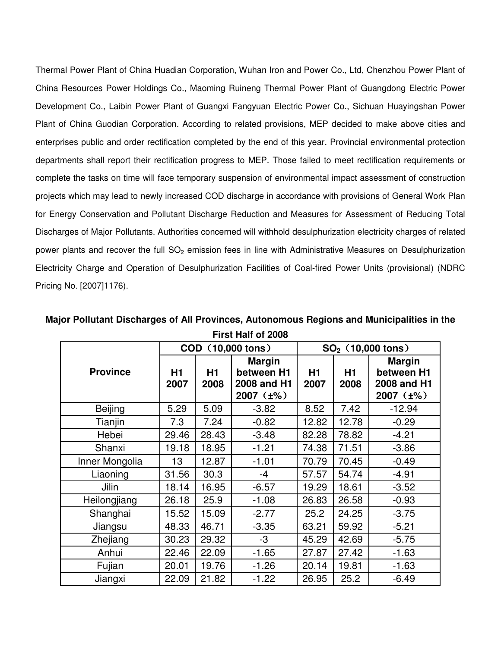Thermal Power Plant of China Huadian Corporation, Wuhan Iron and Power Co., Ltd, Chenzhou Power Plant of China Resources Power Holdings Co., Maoming Ruineng Thermal Power Plant of Guangdong Electric Power Development Co., Laibin Power Plant of Guangxi Fangyuan Electric Power Co., Sichuan Huayingshan Power Plant of China Guodian Corporation. According to related provisions, MEP decided to make above cities and enterprises public and order rectification completed by the end of this year. Provincial environmental protection departments shall report their rectification progress to MEP. Those failed to meet rectification requirements or complete the tasks on time will face temporary suspension of environmental impact assessment of construction projects which may lead to newly increased COD discharge in accordance with provisions of General Work Plan for Energy Conservation and Pollutant Discharge Reduction and Measures for Assessment of Reducing Total Discharges of Major Pollutants. Authorities concerned will withhold desulphurization electricity charges of related power plants and recover the full  $SO<sub>2</sub>$  emission fees in line with Administrative Measures on Desulphurization Electricity Charge and Operation of Desulphurization Facilities of Coal-fired Power Units (provisional) (NDRC Pricing No. [2007]1176).

|                 |            |            | COD (10,000 tons)                                                | $SO2$ (10,000 tons) |            |                                                                  |
|-----------------|------------|------------|------------------------------------------------------------------|---------------------|------------|------------------------------------------------------------------|
| <b>Province</b> | H1<br>2007 | H1<br>2008 | <b>Margin</b><br>between H1<br>2008 and H1<br>$2007$ ( $\pm\%$ ) | H1<br>2007          | H1<br>2008 | <b>Margin</b><br>between H1<br>2008 and H1<br>$2007$ ( $\pm\%$ ) |
| <b>Beijing</b>  | 5.29       | 5.09       | $-3.82$                                                          | 8.52                | 7.42       | $-12.94$                                                         |
| Tianjin         | 7.3        | 7.24       | $-0.82$                                                          | 12.82               | 12.78      | $-0.29$                                                          |
| Hebei           | 29.46      | 28.43      | $-3.48$                                                          | 82.28               | 78.82      | $-4.21$                                                          |
| Shanxi          | 19.18      | 18.95      | $-1.21$                                                          | 74.38               | 71.51      | $-3.86$                                                          |
| Inner Mongolia  | 13         | 12.87      | $-1.01$                                                          | 70.79               | 70.45      | $-0.49$                                                          |
| Liaoning        | 31.56      | 30.3       | $-4$                                                             | 57.57               | 54.74      | $-4.91$                                                          |
| Jilin           | 18.14      | 16.95      | $-6.57$                                                          | 19.29               | 18.61      | $-3.52$                                                          |
| Heilongjiang    | 26.18      | 25.9       | $-1.08$                                                          | 26.83               | 26.58      | $-0.93$                                                          |
| Shanghai        | 15.52      | 15.09      | $-2.77$                                                          | 25.2                | 24.25      | $-3.75$                                                          |
| Jiangsu         | 48.33      | 46.71      | $-3.35$                                                          | 63.21               | 59.92      | $-5.21$                                                          |
| Zhejiang        | 30.23      | 29.32      | -3                                                               | 45.29               | 42.69      | $-5.75$                                                          |
| Anhui           | 22.46      | 22.09      | $-1.65$                                                          | 27.87               | 27.42      | $-1.63$                                                          |
| Fujian          | 20.01      | 19.76      | $-1.26$                                                          | 20.14               | 19.81      | $-1.63$                                                          |
| Jiangxi         | 22.09      | 21.82      | $-1.22$                                                          | 26.95               | 25.2       | $-6.49$                                                          |

**Major Pollutant Discharges of All Provinces, Autonomous Regions and Municipalities in the First Half of 2008**